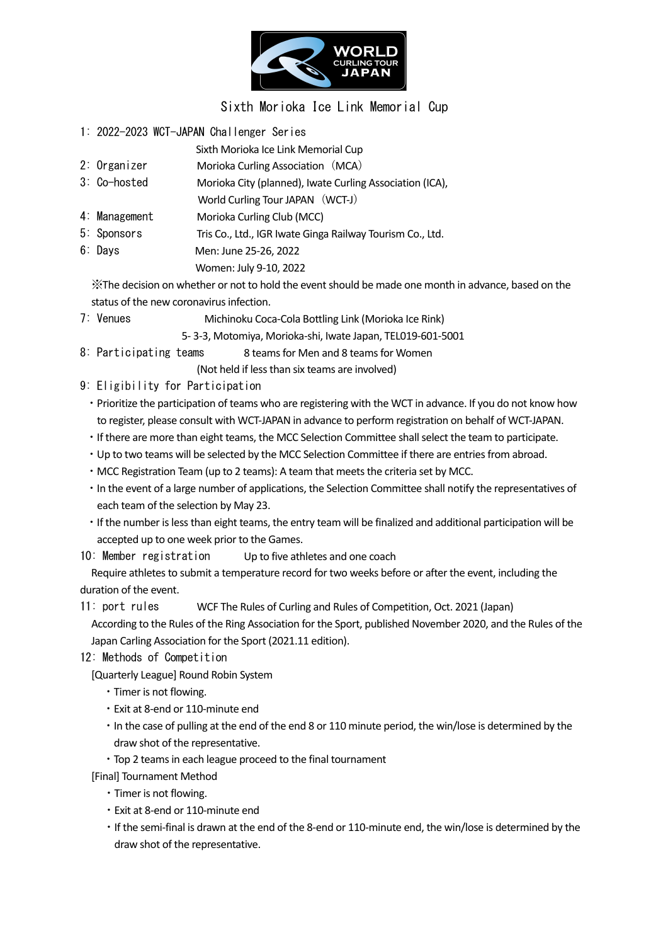

## Sixth Morioka Ice Link Memorial Cup

1: 2022-2023 WCT-JAPAN Challenger Series

Sixth Morioka Ice Link Memorial Cup

- 2: Organizer Morioka Curling Association (MCA)
- 3: Co-hosted Morioka City (planned), Iwate Curling Association (ICA),
- World Curling Tour JAPAN (WCT-J)
- 4: Management Morioka Curling Club (MCC)
- 5: Sponsors Tris Co., Ltd., IGR Iwate Ginga Railway Tourism Co., Ltd.
- 6: Days Men: June 25-26, 2022
	- Women: July 9-10, 2022

※The decision on whether or not to hold the event should be made one month in advance, based on the status of the new coronavirus infection.

7: Venues Michinoku Coca-Cola Bottling Link (Morioka Ice Rink)

5- 3-3, Motomiya, Morioka-shi, Iwate Japan, TEL019-601-5001

8: Participating teams 8 teams for Men and 8 teams for Women

(Not held if less than six teams are involved)

- 9: Eligibility for Participation
	- ・Prioritize the participation of teams who are registering with the WCT in advance. If you do not know how to register, please consult with WCT-JAPAN in advance to perform registration on behalf of WCT-JAPAN.
	- ・If there are more than eight teams, the MCC Selection Committee shall select the team to participate.
	- ・Up to two teams will be selected by the MCC Selection Committee if there are entries from abroad.
	- ・MCC Registration Team (up to 2 teams): A team that meets the criteria set by MCC.
	- ・In the event of a large number of applications, the Selection Committee shall notify the representatives of each team of the selection by May 23.
	- ・If the number is less than eight teams, the entry team will be finalized and additional participation will be accepted up to one week prior to the Games.
- 10: Member registration Up to five athletes and one coach

Require athletes to submit a temperature record for two weeks before or after the event, including the duration of the event.

11: port rules WCF The Rules of Curling and Rules of Competition, Oct. 2021 (Japan)

According to the Rules of the Ring Association for the Sport, published November 2020, and the Rules of the Japan Carling Association for the Sport (2021.11 edition).

12: Methods of Competition

[Quarterly League] Round Robin System

- ・Timer is not flowing.
- ・Exit at 8-end or 110-minute end
- ・In the case of pulling at the end of the end 8 or 110 minute period, the win/lose is determined by the draw shot of the representative.
- ・Top 2 teams in each league proceed to the final tournament

[Final] Tournament Method

- ・Timer is not flowing.
- ・Exit at 8-end or 110-minute end
- ・If the semi-final is drawn at the end of the 8-end or 110-minute end, the win/lose is determined by the draw shot of the representative.